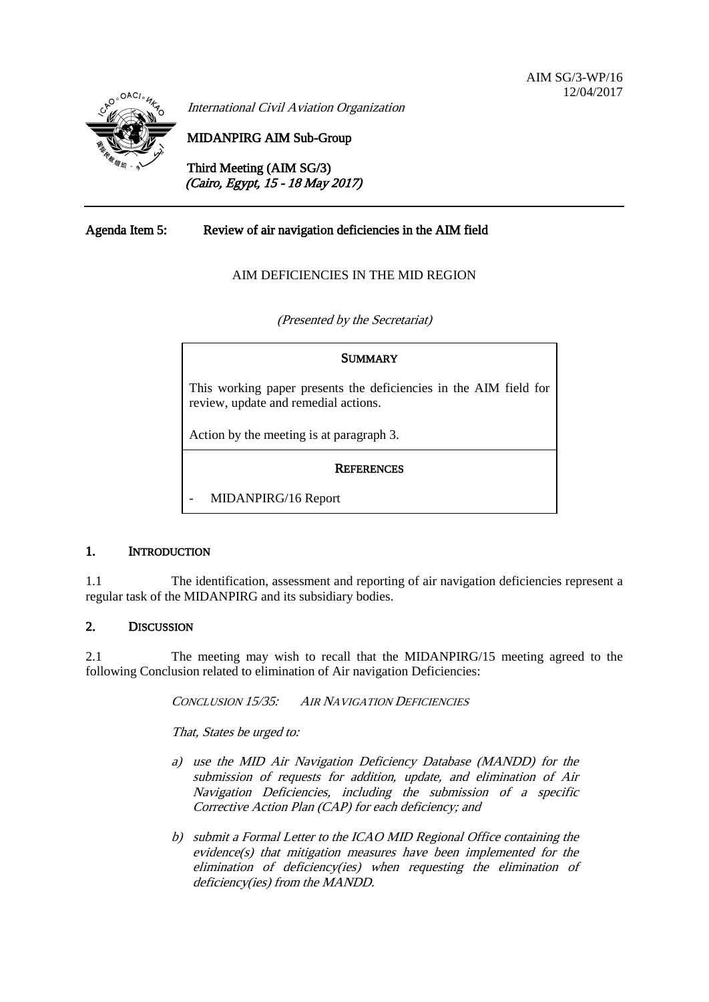

International Civil Aviation Organization

MIDANPIRG AIM Sub-Group

Third Meeting (AIM SG/3) (Cairo, Egypt, 15 - 18 May 2017)

## Agenda Item 5: Review of air navigation deficiencies in the AIM field

### AIM DEFICIENCIES IN THE MID REGION

(Presented by the Secretariat)

# **SUMMARY** This working paper presents the deficiencies in the AIM field for review, update and remedial actions. Action by the meeting is at paragraph 3. **REFERENCES**

- MIDANPIRG/16 Report

### 1. INTRODUCTION

1.1 The identification, assessment and reporting of air navigation deficiencies represent a regular task of the MIDANPIRG and its subsidiary bodies.

#### 2. DISCUSSION

2.1 The meeting may wish to recall that the MIDANPIRG/15 meeting agreed to the following Conclusion related to elimination of Air navigation Deficiencies:

CONCLUSION 15/35: AIR NAVIGATION DEFICIENCIES

That, States be urged to:

- a) use the MID Air Navigation Deficiency Database (MANDD) for the submission of requests for addition, update, and elimination of Air Navigation Deficiencies, including the submission of a specific Corrective Action Plan (CAP) for each deficiency; and
- b) submit a Formal Letter to the ICAO MID Regional Office containing the evidence(s) that mitigation measures have been implemented for the elimination of deficiency(ies) when requesting the elimination of deficiency(ies) from the MANDD.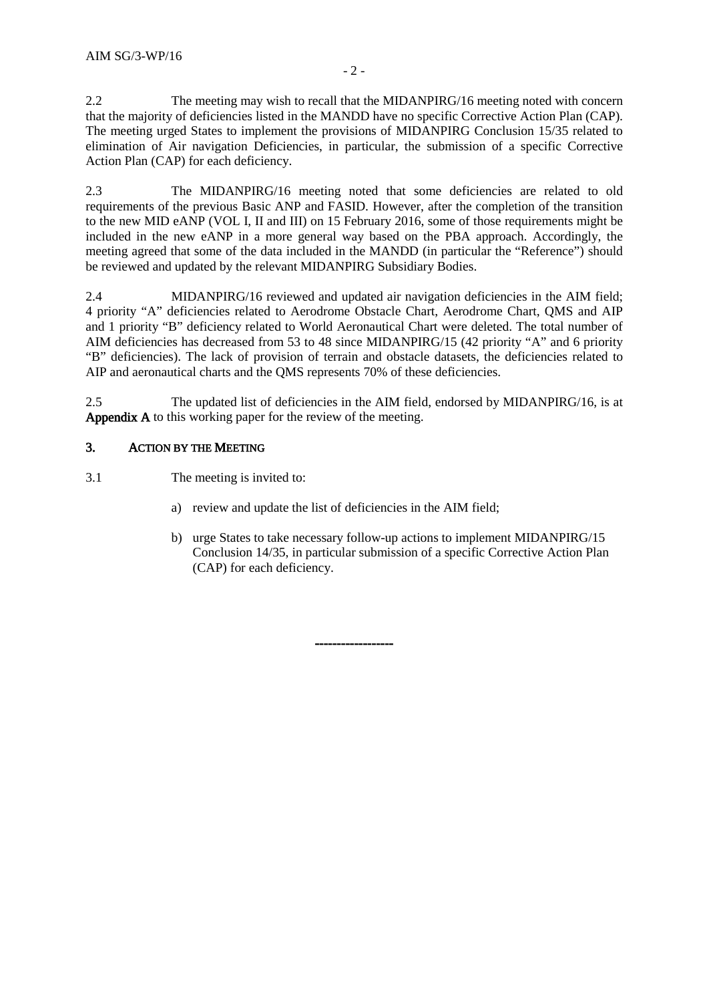2.2 The meeting may wish to recall that the MIDANPIRG/16 meeting noted with concern that the majority of deficiencies listed in the MANDD have no specific Corrective Action Plan (CAP). The meeting urged States to implement the provisions of MIDANPIRG Conclusion 15/35 related to elimination of Air navigation Deficiencies, in particular, the submission of a specific Corrective Action Plan (CAP) for each deficiency.

2.3 The MIDANPIRG/16 meeting noted that some deficiencies are related to old requirements of the previous Basic ANP and FASID. However, after the completion of the transition to the new MID eANP (VOL I, II and III) on 15 February 2016, some of those requirements might be included in the new eANP in a more general way based on the PBA approach. Accordingly, the meeting agreed that some of the data included in the MANDD (in particular the "Reference") should be reviewed and updated by the relevant MIDANPIRG Subsidiary Bodies.

2.4 MIDANPIRG/16 reviewed and updated air navigation deficiencies in the AIM field; 4 priority "A" deficiencies related to Aerodrome Obstacle Chart, Aerodrome Chart, QMS and AIP and 1 priority "B" deficiency related to World Aeronautical Chart were deleted. The total number of AIM deficiencies has decreased from 53 to 48 since MIDANPIRG/15 (42 priority "A" and 6 priority "B" deficiencies). The lack of provision of terrain and obstacle datasets, the deficiencies related to AIP and aeronautical charts and the QMS represents 70% of these deficiencies.

2.5 The updated list of deficiencies in the AIM field, endorsed by MIDANPIRG/16, is at Appendix A to this working paper for the review of the meeting.

## 3. ACTION BY THE MEETING

3.1 The meeting is invited to:

a) review and update the list of deficiencies in the AIM field;

------------------

b) urge States to take necessary follow-up actions to implement MIDANPIRG/15 Conclusion 14/35, in particular submission of a specific Corrective Action Plan (CAP) for each deficiency.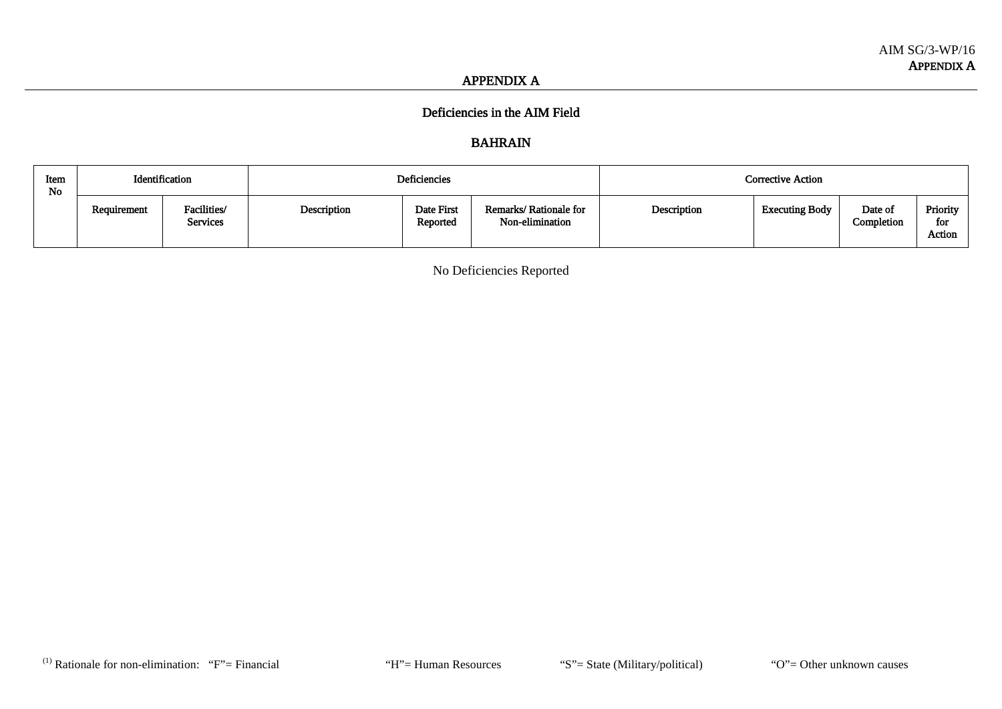#### APPENDIX A

## Deficiencies in the AIM Field

# BAHRAIN

| Item<br>No | Identification |                         |             | Deficiencies           |                                          |             | Corrective Action     |                       |                           |
|------------|----------------|-------------------------|-------------|------------------------|------------------------------------------|-------------|-----------------------|-----------------------|---------------------------|
|            | Requirement    | Facilities/<br>Services | Description | Date First<br>Reported | Remarks/Rationale for<br>Non-elimination | Description | <b>Executing Body</b> | Date of<br>Completion | Priority<br>for<br>Action |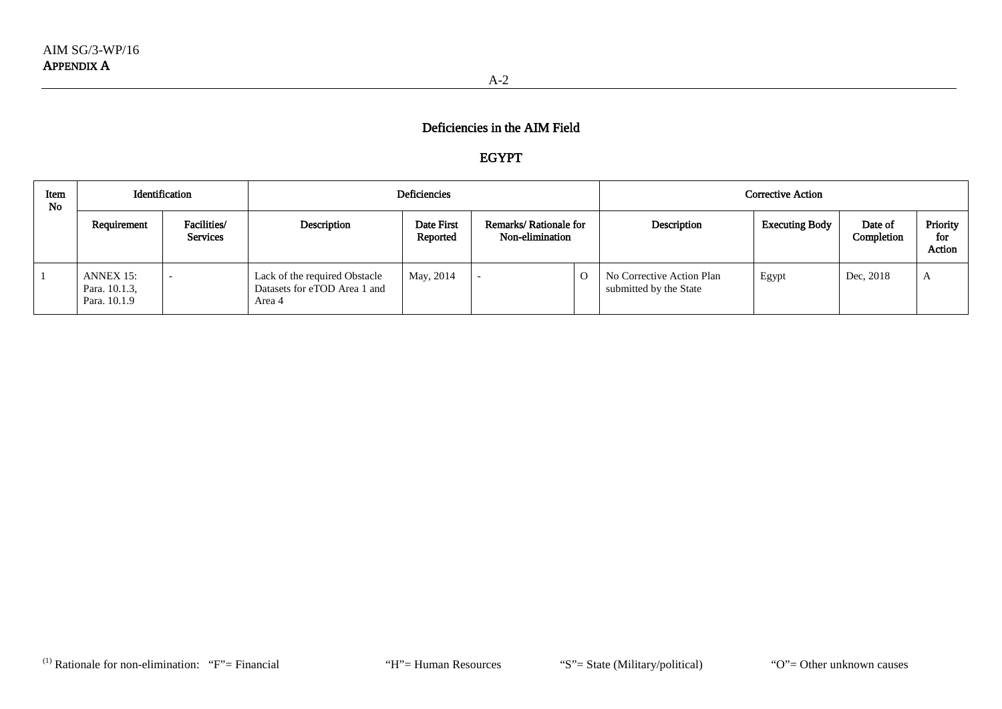# EGYPT

| Item<br><b>No</b> | Identification                             |                                |                                                                         | Deficiencies           |                                          |  | <b>Corrective Action</b>                            |                       |                       |                           |  |
|-------------------|--------------------------------------------|--------------------------------|-------------------------------------------------------------------------|------------------------|------------------------------------------|--|-----------------------------------------------------|-----------------------|-----------------------|---------------------------|--|
|                   | Requirement                                | Facilities/<br><b>Services</b> | Description                                                             | Date First<br>Reported | Remarks/Rationale for<br>Non-elimination |  | Description                                         | <b>Executing Body</b> | Date of<br>Completion | Priority<br>for<br>Action |  |
|                   | ANNEX 15:<br>Para. 10.1.3,<br>Para. 10.1.9 |                                | Lack of the required Obstacle<br>Datasets for eTOD Area 1 and<br>Area 4 | May, 2014              |                                          |  | No Corrective Action Plan<br>submitted by the State | Egypt                 | Dec, 2018             | A                         |  |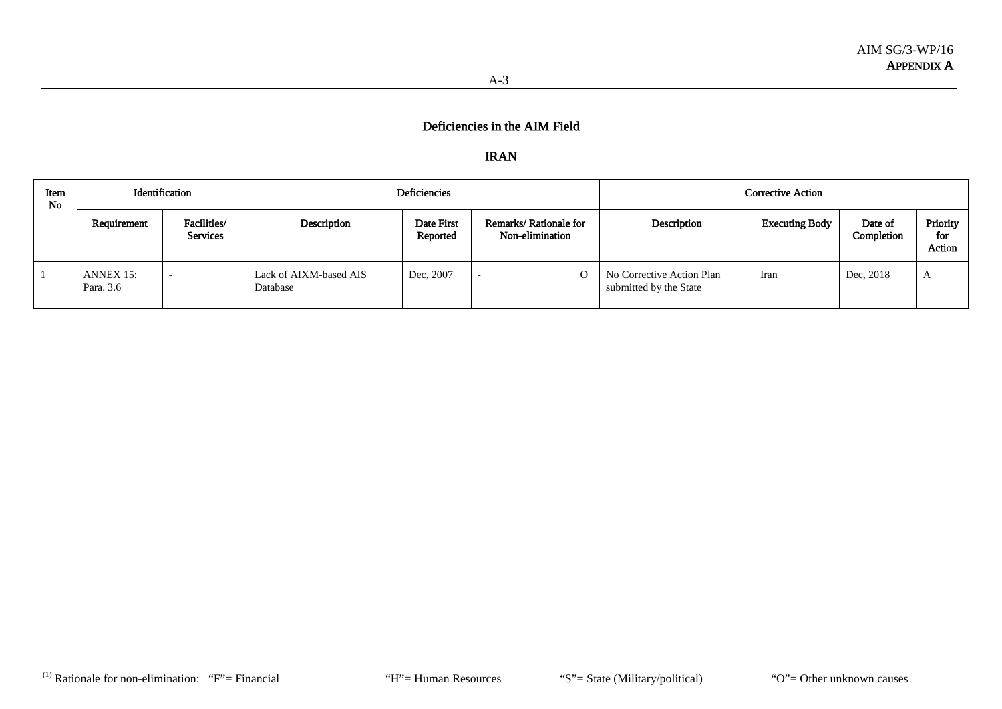## IRAN

| Item<br><b>No</b> |                        | Identification          |                                    | Deficiencies           |                                          |          |                                                     | <b>Corrective Action</b> |                       |                           |
|-------------------|------------------------|-------------------------|------------------------------------|------------------------|------------------------------------------|----------|-----------------------------------------------------|--------------------------|-----------------------|---------------------------|
|                   | Requirement            | Facilities/<br>Services | Description                        | Date First<br>Reported | Remarks/Rationale for<br>Non-elimination |          | Description                                         | <b>Executing Body</b>    | Date of<br>Completion | Priority<br>for<br>Action |
|                   | ANNEX 15:<br>Para. 3.6 |                         | Lack of AIXM-based AIS<br>Database | Dec, 2007              |                                          | $\Omega$ | No Corrective Action Plan<br>submitted by the State | Iran                     | Dec, 2018             | $\Delta$                  |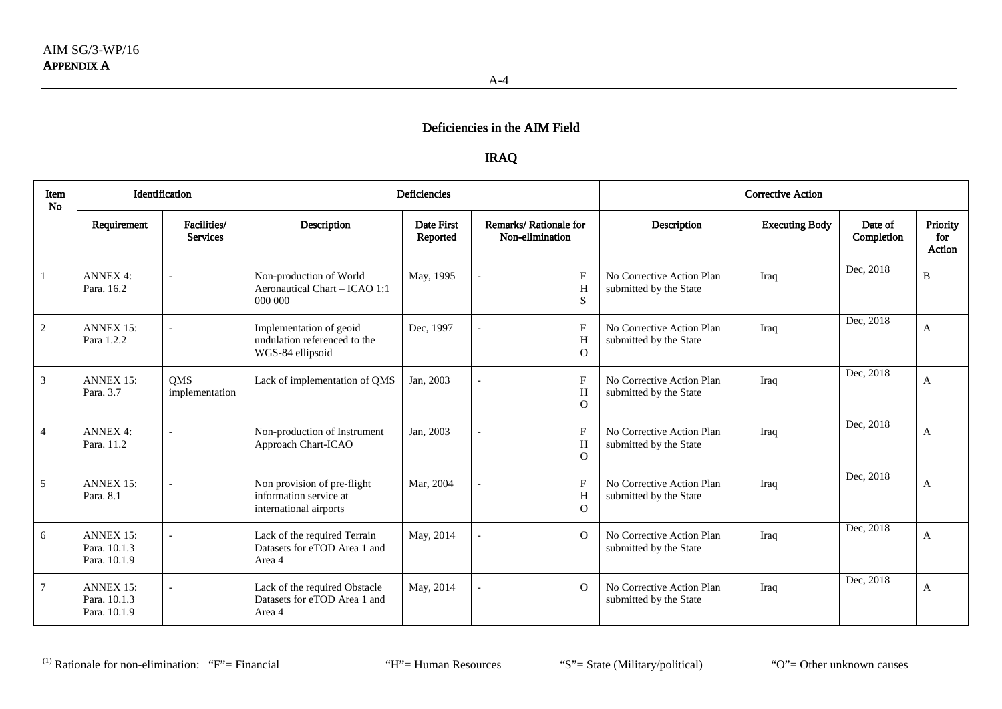## IRAQ

| Item<br>No     | Identification                                   |                                |                                                                                 | <b>Deficiencies</b>    |                                          | <b>Corrective Action</b>                   |                                                     |                       |                       |                           |
|----------------|--------------------------------------------------|--------------------------------|---------------------------------------------------------------------------------|------------------------|------------------------------------------|--------------------------------------------|-----------------------------------------------------|-----------------------|-----------------------|---------------------------|
|                | Requirement                                      | Facilities/<br><b>Services</b> | Description                                                                     | Date First<br>Reported | Remarks/Rationale for<br>Non-elimination |                                            | Description                                         | <b>Executing Body</b> | Date of<br>Completion | Priority<br>for<br>Action |
|                | <b>ANNEX 4:</b><br>Para, 16.2                    |                                | Non-production of World<br>Aeronautical Chart - ICAO 1:1<br>000 000             | May, 1995              |                                          | $\boldsymbol{\mathrm{F}}$<br>H<br>S        | No Corrective Action Plan<br>submitted by the State | Iraq                  | Dec, 2018             | B                         |
| 2              | <b>ANNEX 15:</b><br>Para 1.2.2                   |                                | Implementation of geoid<br>undulation referenced to the<br>WGS-84 ellipsoid     | Dec, 1997              |                                          | $\boldsymbol{\mathrm{F}}$<br>H<br>$\Omega$ | No Corrective Action Plan<br>submitted by the State | Iraq                  | Dec, 2018             | A                         |
| 3              | <b>ANNEX 15:</b><br>Para, 3.7                    | <b>OMS</b><br>implementation   | Lack of implementation of QMS                                                   | Jan, 2003              |                                          | $\mathbf{F}$<br>H<br>$\overline{O}$        | No Corrective Action Plan<br>submitted by the State | Iraq                  | Dec, 2018             | A                         |
| $\overline{4}$ | <b>ANNEX 4:</b><br>Para, 11.2                    |                                | Non-production of Instrument<br>Approach Chart-ICAO                             | Jan, 2003              |                                          | $\mathbf{F}$<br>H<br>$\Omega$              | No Corrective Action Plan<br>submitted by the State | Iraq                  | Dec, 2018             | A                         |
| 5              | <b>ANNEX 15:</b><br>Para, 8.1                    |                                | Non provision of pre-flight<br>information service at<br>international airports | Mar, 2004              |                                          | $\mathbf{F}$<br>H<br>$\Omega$              | No Corrective Action Plan<br>submitted by the State | Iraq                  | Dec, 2018             | A                         |
| 6              | <b>ANNEX 15:</b><br>Para, 10.1.3<br>Para. 10.1.9 |                                | Lack of the required Terrain<br>Datasets for eTOD Area 1 and<br>Area 4          | May, 2014              |                                          | $\overline{O}$                             | No Corrective Action Plan<br>submitted by the State | Iraq                  | Dec, 2018             | A                         |
| $\tau$         | <b>ANNEX 15:</b><br>Para, 10.1.3<br>Para, 10.1.9 |                                | Lack of the required Obstacle<br>Datasets for eTOD Area 1 and<br>Area 4         | May, 2014              |                                          | $\Omega$                                   | No Corrective Action Plan<br>submitted by the State | Iraq                  | Dec, 2018             | A                         |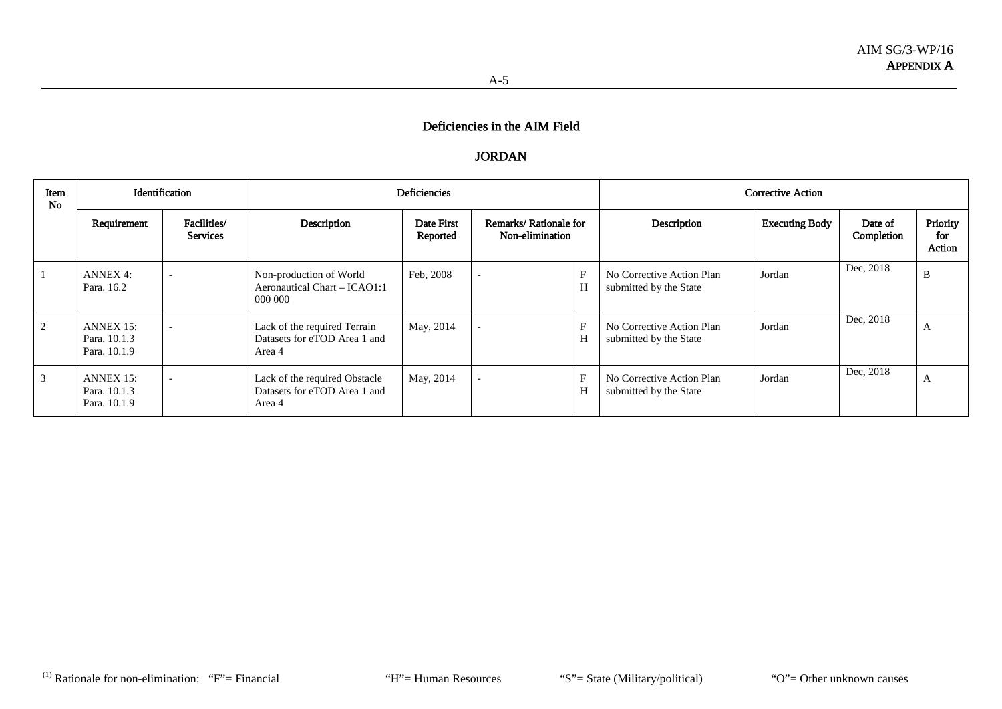## JORDAN

| Item<br><b>No</b> |                                           | Identification                 |                                                                         | <b>Deficiencies</b>    |                                          |                  |                                                     | <b>Corrective Action</b> |                       |                           |
|-------------------|-------------------------------------------|--------------------------------|-------------------------------------------------------------------------|------------------------|------------------------------------------|------------------|-----------------------------------------------------|--------------------------|-----------------------|---------------------------|
|                   | Requirement                               | Facilities/<br><b>Services</b> | Description                                                             | Date First<br>Reported | Remarks/Rationale for<br>Non-elimination |                  | Description                                         | <b>Executing Body</b>    | Date of<br>Completion | Priority<br>for<br>Action |
|                   | ANNEX 4:<br>Para, 16.2                    | $\overline{\phantom{0}}$       | Non-production of World<br>Aeronautical Chart - ICAO1:1<br>000 000      | Feb. 2008              | $\overline{\phantom{a}}$                 | F<br>H           | No Corrective Action Plan<br>submitted by the State | Jordan                   | Dec, 2018             | B                         |
| 2                 | ANNEX 15:<br>Para. 10.1.3<br>Para, 10.1.9 |                                | Lack of the required Terrain<br>Datasets for eTOD Area 1 and<br>Area 4  | May, 2014              | $\overline{\phantom{a}}$                 | $\rm F$<br>H     | No Corrective Action Plan<br>submitted by the State | Jordan                   | Dec, 2018             | A                         |
|                   | ANNEX 15:<br>Para, 10.1.3<br>Para, 10.1.9 |                                | Lack of the required Obstacle<br>Datasets for eTOD Area 1 and<br>Area 4 | May, 2014              |                                          | $\mathbf F$<br>H | No Corrective Action Plan<br>submitted by the State | Jordan                   | Dec, 2018             | A                         |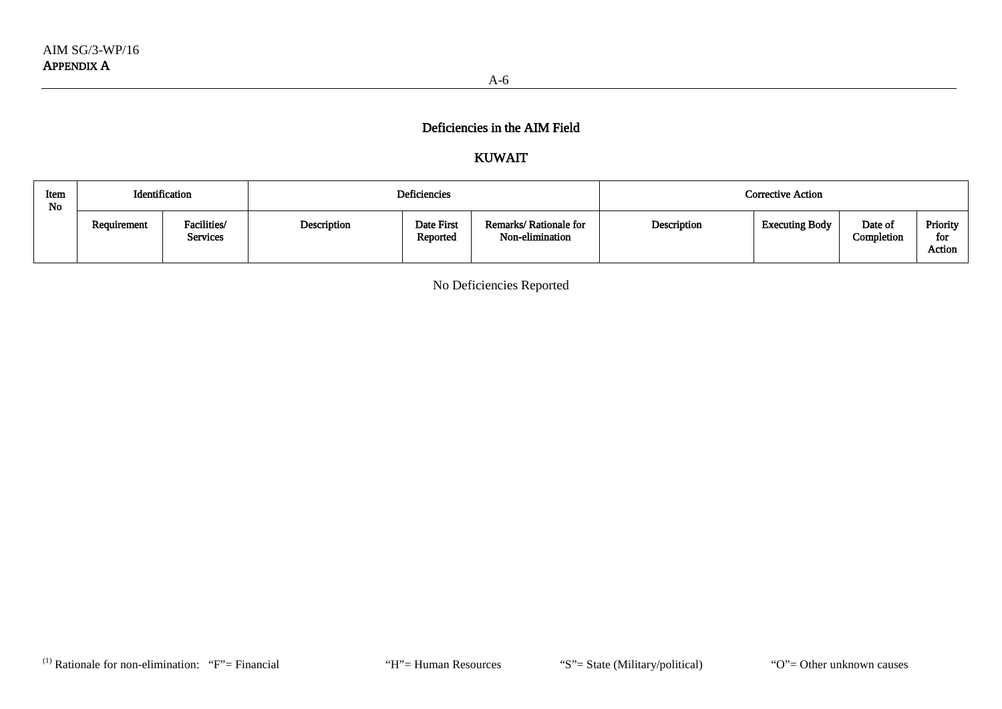# KUWAIT

| Item<br>No | Identification |                         |             | Deficiencies           |                                          | Corrective Action |                       |                       |                           |  |
|------------|----------------|-------------------------|-------------|------------------------|------------------------------------------|-------------------|-----------------------|-----------------------|---------------------------|--|
|            | Requirement    | Facilities/<br>Services | Description | Date First<br>Reported | Remarks/Rationale for<br>Non-elimination | Description       | <b>Executing Body</b> | Date of<br>Completion | Priority<br>for<br>Action |  |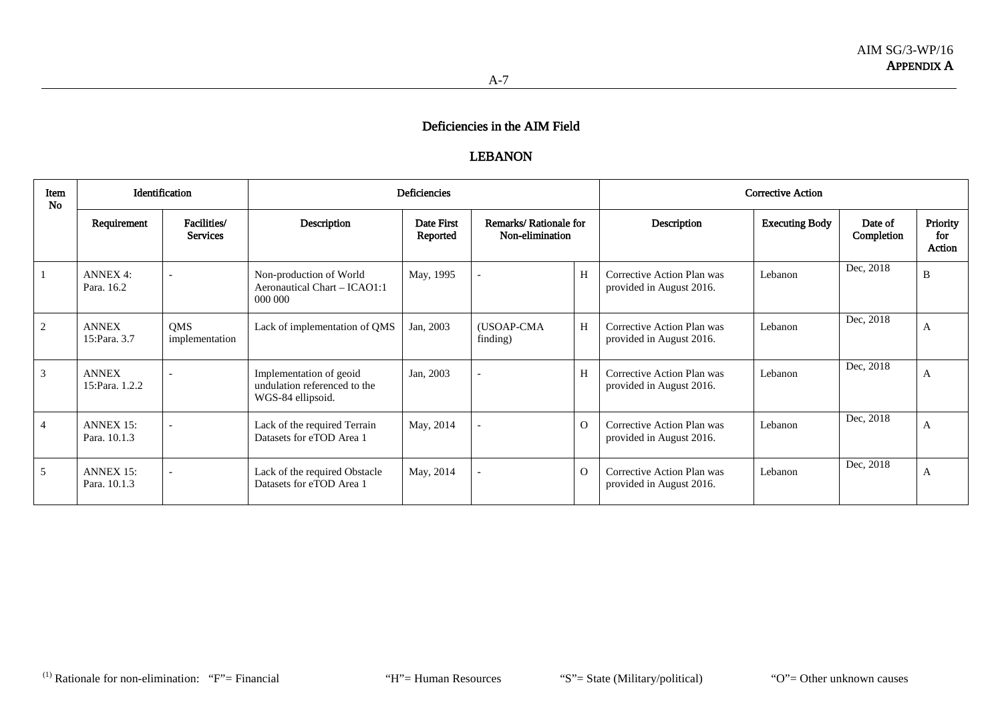#### LEBANON

| Item<br><b>No</b> |                                  | Identification                 |                                                                              | Deficiencies           |                                          |          |                                                        | <b>Corrective Action</b> |                       |                           |
|-------------------|----------------------------------|--------------------------------|------------------------------------------------------------------------------|------------------------|------------------------------------------|----------|--------------------------------------------------------|--------------------------|-----------------------|---------------------------|
|                   | Requirement                      | Facilities/<br><b>Services</b> | Description                                                                  | Date First<br>Reported | Remarks/Rationale for<br>Non-elimination |          | Description                                            | <b>Executing Body</b>    | Date of<br>Completion | Priority<br>for<br>Action |
|                   | <b>ANNEX 4:</b><br>Para, 16.2    |                                | Non-production of World<br>Aeronautical Chart – ICAO1:1<br>000 000           | May, 1995              |                                          | H        | Corrective Action Plan was<br>provided in August 2016. | Lebanon                  | Dec, 2018             | B                         |
| 2                 | <b>ANNEX</b><br>15:Para, 3.7     | QMS<br>implementation          | Lack of implementation of QMS                                                | Jan, 2003              | (USOAP-CMA<br>finding)                   | H        | Corrective Action Plan was<br>provided in August 2016. | Lebanon                  | Dec, 2018             | A                         |
| 3                 | <b>ANNEX</b><br>15:Para. 1.2.2   |                                | Implementation of geoid<br>undulation referenced to the<br>WGS-84 ellipsoid. | Jan, 2003              |                                          | H        | Corrective Action Plan was<br>provided in August 2016. | Lebanon                  | Dec, 2018             | A                         |
| $\overline{4}$    | <b>ANNEX 15:</b><br>Para, 10.1.3 |                                | Lack of the required Terrain<br>Datasets for eTOD Area 1                     | May, 2014              |                                          | $\Omega$ | Corrective Action Plan was<br>provided in August 2016. | Lebanon                  | Dec, 2018             | A                         |
| 5                 | <b>ANNEX 15:</b><br>Para. 10.1.3 |                                | Lack of the required Obstacle<br>Datasets for eTOD Area 1                    | May, 2014              |                                          | $\Omega$ | Corrective Action Plan was<br>provided in August 2016. | Lebanon                  | Dec, 2018             | A                         |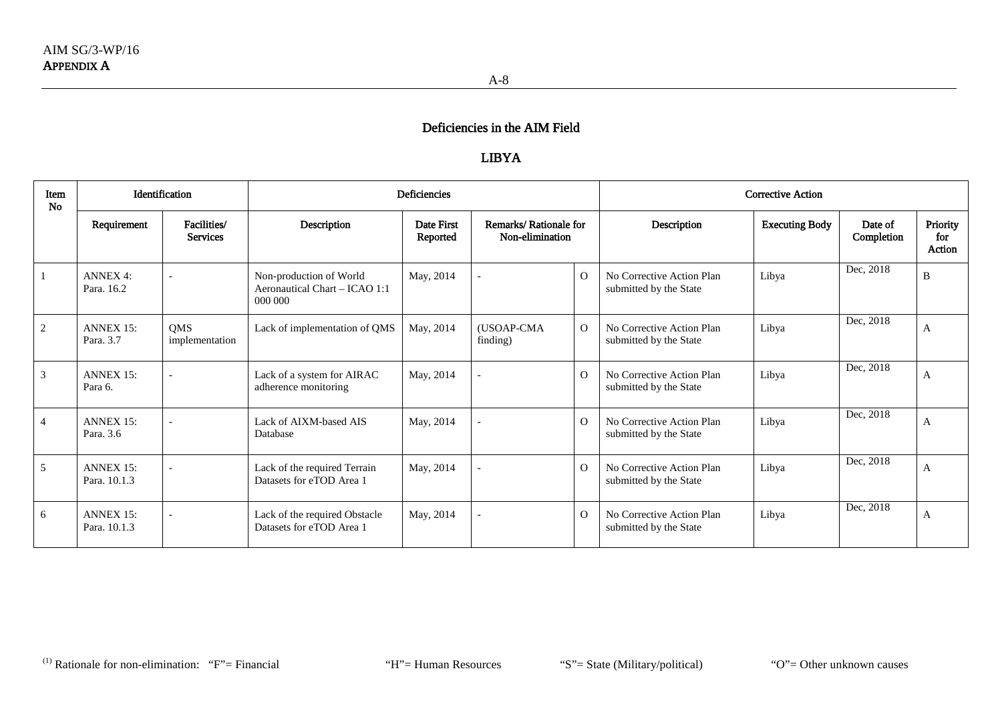## LIBYA

| Item<br>No     | <b>Identification</b>            |                                | <b>Deficiencies</b>                                                 |                        |                                          |                | <b>Corrective Action</b>                            |                       |                        |                           |  |
|----------------|----------------------------------|--------------------------------|---------------------------------------------------------------------|------------------------|------------------------------------------|----------------|-----------------------------------------------------|-----------------------|------------------------|---------------------------|--|
|                | Requirement                      | Facilities/<br><b>Services</b> | Description                                                         | Date First<br>Reported | Remarks/Rationale for<br>Non-elimination |                | Description                                         | <b>Executing Body</b> | Date of<br>Completion  | Priority<br>for<br>Action |  |
|                | <b>ANNEX 4:</b><br>Para. 16.2    |                                | Non-production of World<br>Aeronautical Chart - ICAO 1:1<br>000 000 | May, 2014              |                                          | $\Omega$       | No Corrective Action Plan<br>submitted by the State | Libya                 | Dec, 2018              | B                         |  |
| 2              | <b>ANNEX 15:</b><br>Para, 3.7    | <b>OMS</b><br>implementation   | Lack of implementation of QMS                                       | May, 2014              | (USOAP-CMA<br>finding)                   | $\Omega$       | No Corrective Action Plan<br>submitted by the State | Libya                 | Dec, $20\overline{18}$ | A                         |  |
| 3              | <b>ANNEX 15:</b><br>Para 6.      |                                | Lack of a system for AIRAC<br>adherence monitoring                  | May, 2014              |                                          | $\Omega$       | No Corrective Action Plan<br>submitted by the State | Libya                 | Dec, 2018              | A                         |  |
| $\overline{4}$ | <b>ANNEX 15:</b><br>Para, 3.6    |                                | Lack of AIXM-based AIS<br>Database                                  | May, 2014              |                                          | $\Omega$       | No Corrective Action Plan<br>submitted by the State | Libya                 | Dec, 2018              | A                         |  |
| 5              | <b>ANNEX 15:</b><br>Para, 10.1.3 |                                | Lack of the required Terrain<br>Datasets for eTOD Area 1            | May, 2014              |                                          | $\overline{O}$ | No Corrective Action Plan<br>submitted by the State | Libya                 | Dec, 2018              | A                         |  |
| 6              | <b>ANNEX 15:</b><br>Para. 10.1.3 |                                | Lack of the required Obstacle<br>Datasets for eTOD Area 1           | May, 2014              |                                          | $\Omega$       | No Corrective Action Plan<br>submitted by the State | Libya                 | Dec, 2018              | A                         |  |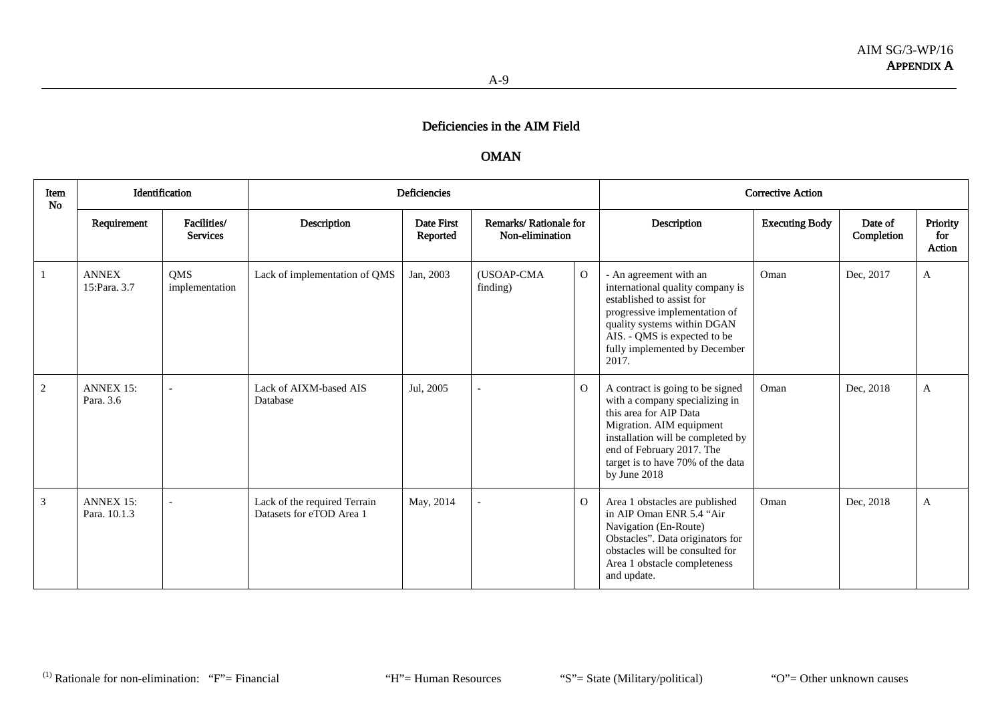## OMAN

| Item<br>No |                                  | Identification                 |                                                          | <b>Deficiencies</b>    |                                          |                |                                                                                                                                                                                                                                                 | <b>Corrective Action</b> |                       |                           |
|------------|----------------------------------|--------------------------------|----------------------------------------------------------|------------------------|------------------------------------------|----------------|-------------------------------------------------------------------------------------------------------------------------------------------------------------------------------------------------------------------------------------------------|--------------------------|-----------------------|---------------------------|
|            | Requirement                      | Facilities/<br><b>Services</b> | Description                                              | Date First<br>Reported | Remarks/Rationale for<br>Non-elimination |                | Description                                                                                                                                                                                                                                     | <b>Executing Body</b>    | Date of<br>Completion | Priority<br>for<br>Action |
|            | <b>ANNEX</b><br>15:Para, 3.7     | <b>OMS</b><br>implementation   | Lack of implementation of QMS                            | Jan, 2003              | (USOAP-CMA<br>finding)                   | $\mathbf{O}$   | - An agreement with an<br>international quality company is<br>established to assist for<br>progressive implementation of<br>quality systems within DGAN<br>AIS. - QMS is expected to be<br>fully implemented by December<br>2017.               | Oman                     | Dec, 2017             | A                         |
| 2          | <b>ANNEX 15:</b><br>Para, 3.6    |                                | Lack of AIXM-based AIS<br>Database                       | Jul, 2005              |                                          | $\overline{O}$ | A contract is going to be signed<br>with a company specializing in<br>this area for AIP Data<br>Migration. AIM equipment<br>installation will be completed by<br>end of February 2017. The<br>target is to have 70% of the data<br>by June 2018 | Oman                     | Dec, 2018             | A                         |
| 3          | <b>ANNEX 15:</b><br>Para, 10.1.3 |                                | Lack of the required Terrain<br>Datasets for eTOD Area 1 | May, 2014              |                                          | $\overline{O}$ | Area 1 obstacles are published<br>in AIP Oman ENR 5.4 "Air<br>Navigation (En-Route)<br>Obstacles". Data originators for<br>obstacles will be consulted for<br>Area 1 obstacle completeness<br>and update.                                       | Oman                     | Dec, 2018             | A                         |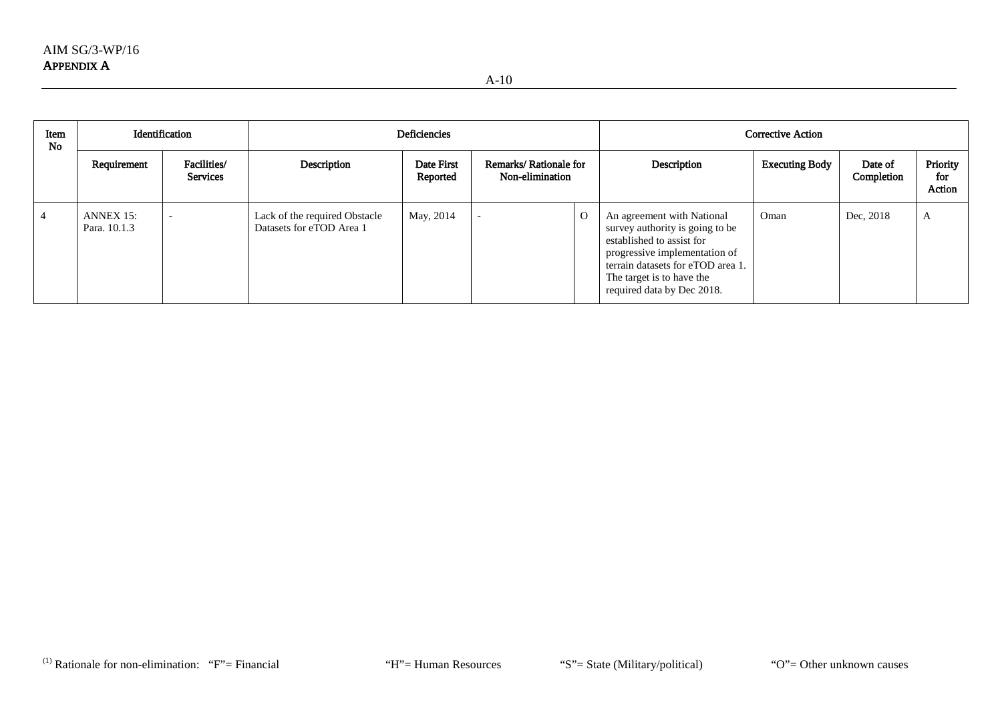| Item<br><b>No</b> | Identification            |                                | Deficiencies                                              |                        |                                          |              | <b>Corrective Action</b>                                                                                                                                                                                                    |                       |                       |                           |  |
|-------------------|---------------------------|--------------------------------|-----------------------------------------------------------|------------------------|------------------------------------------|--------------|-----------------------------------------------------------------------------------------------------------------------------------------------------------------------------------------------------------------------------|-----------------------|-----------------------|---------------------------|--|
|                   | Requirement               | Facilities/<br><b>Services</b> | Description                                               | Date First<br>Reported | Remarks/Rationale for<br>Non-elimination |              | Description                                                                                                                                                                                                                 | <b>Executing Body</b> | Date of<br>Completion | Priority<br>for<br>Action |  |
|                   | ANNEX 15:<br>Para. 10.1.3 |                                | Lack of the required Obstacle<br>Datasets for eTOD Area 1 | May, 2014              |                                          | $\mathbf{O}$ | An agreement with National<br>survey authority is going to be<br>established to assist for<br>progressive implementation of<br>terrain datasets for eTOD area 1.<br>The target is to have the<br>required data by Dec 2018. | Oman                  | Dec, 2018             | A                         |  |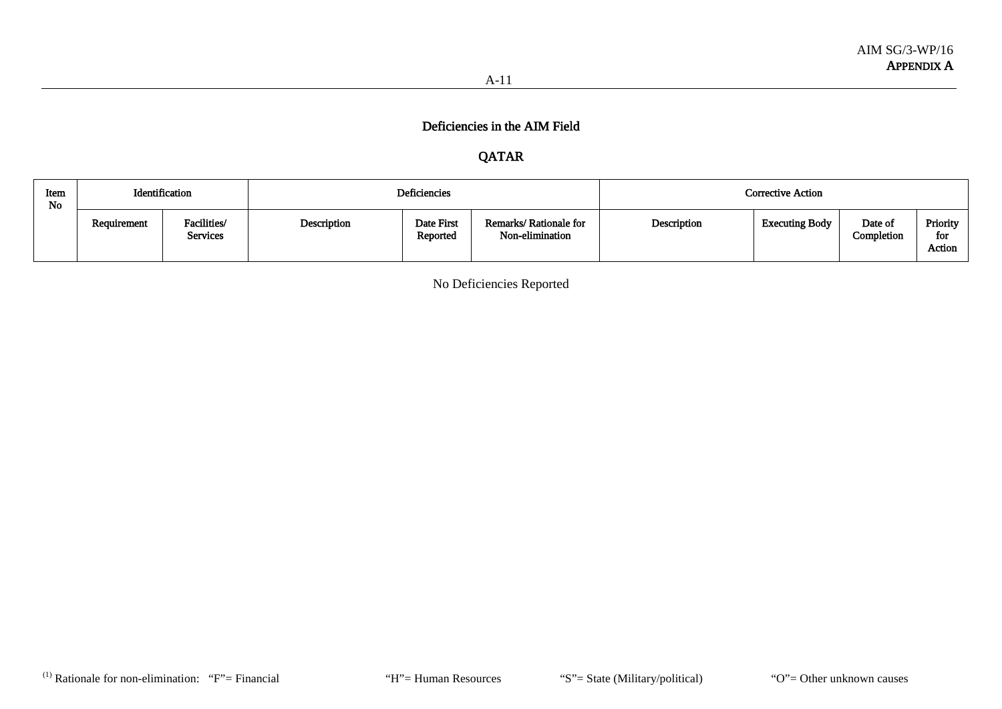## QATAR

| Item<br>No | Identification |                         |             | Deficiencies           |                                          | <b>Corrective Action</b> |                       |                       |                           |  |
|------------|----------------|-------------------------|-------------|------------------------|------------------------------------------|--------------------------|-----------------------|-----------------------|---------------------------|--|
|            | Requirement    | Facilities/<br>Services | Description | Date First<br>Reported | Remarks/Rationale for<br>Non-elimination | Description              | <b>Executing Body</b> | Date of<br>Completion | Priority<br>for<br>Action |  |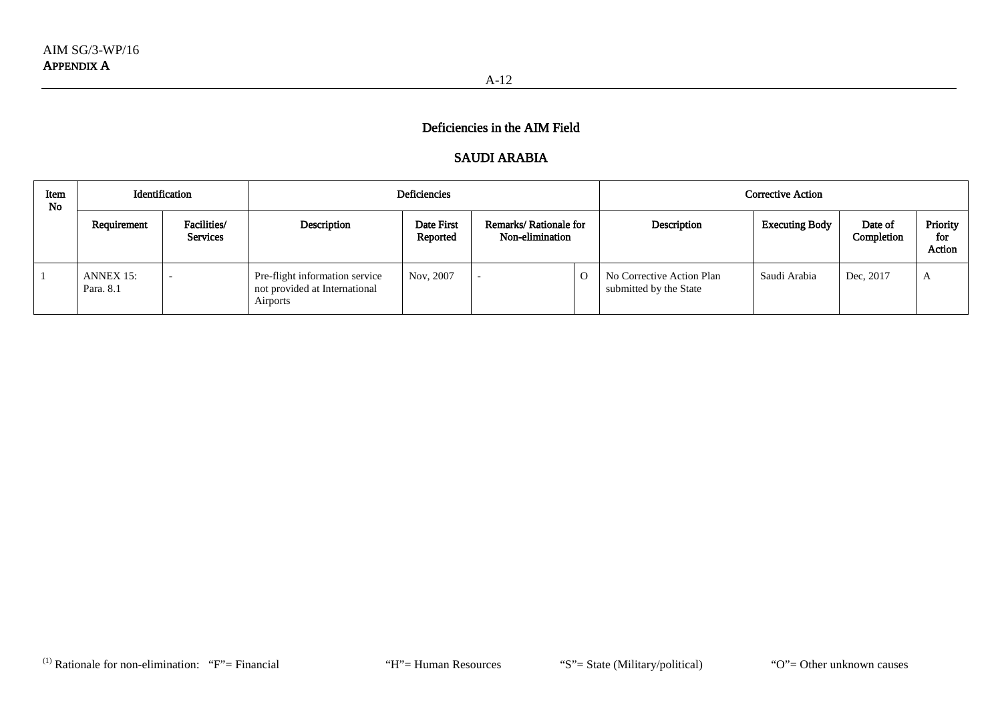## SAUDI ARABIA

| Item<br><b>No</b> | Identification         |                                |                                                                             | Deficiencies           |                                          |  | Corrective Action                                   |                       |                       |                           |
|-------------------|------------------------|--------------------------------|-----------------------------------------------------------------------------|------------------------|------------------------------------------|--|-----------------------------------------------------|-----------------------|-----------------------|---------------------------|
|                   | Requirement            | Facilities/<br><b>Services</b> | Description                                                                 | Date First<br>Reported | Remarks/Rationale for<br>Non-elimination |  | Description                                         | <b>Executing Body</b> | Date of<br>Completion | Priority<br>for<br>Action |
|                   | ANNEX 15:<br>Para, 8.1 |                                | Pre-flight information service<br>not provided at International<br>Airports | Nov, 2007              |                                          |  | No Corrective Action Plan<br>submitted by the State | Saudi Arabia          | Dec, 2017             | A                         |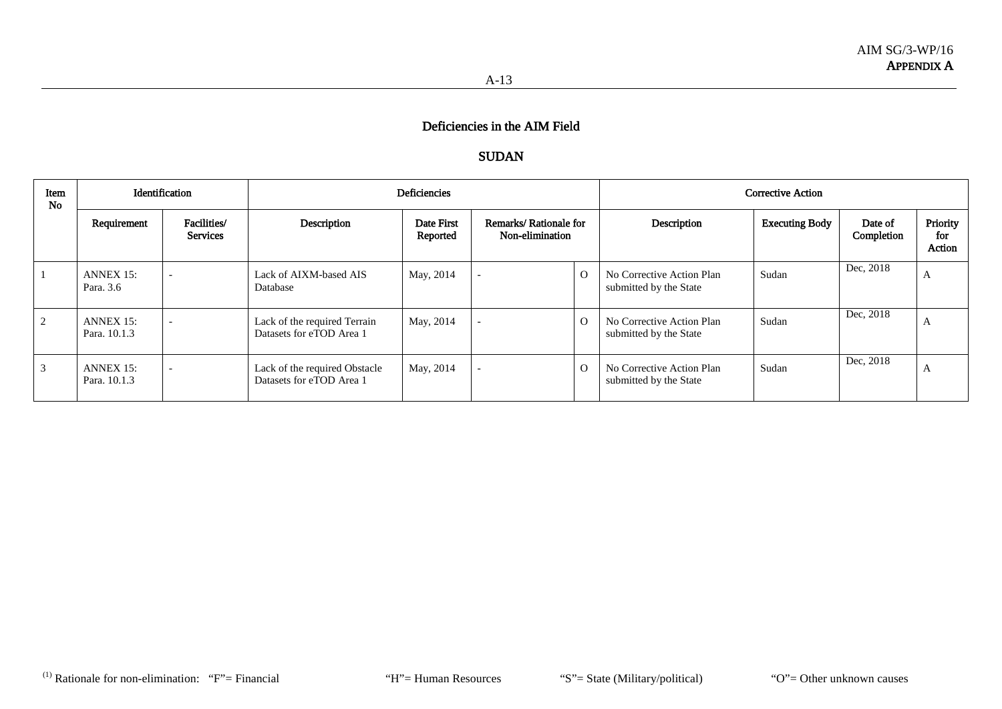### SUDAN

| Item<br><b>No</b> | Identification                   |                                |                                                           | <b>Deficiencies</b>    |                                          | Corrective Action |                                                     |                       |                       |                           |
|-------------------|----------------------------------|--------------------------------|-----------------------------------------------------------|------------------------|------------------------------------------|-------------------|-----------------------------------------------------|-----------------------|-----------------------|---------------------------|
|                   | Requirement                      | Facilities/<br><b>Services</b> | Description                                               | Date First<br>Reported | Remarks/Rationale for<br>Non-elimination |                   | Description                                         | <b>Executing Body</b> | Date of<br>Completion | Priority<br>for<br>Action |
|                   | $ANNEX 15$ :<br>Para. 3.6        | $\overline{\phantom{a}}$       | Lack of AIXM-based AIS<br>Database                        | May, 2014              |                                          | $\Omega$          | No Corrective Action Plan<br>submitted by the State | Sudan                 | Dec, 2018             | A                         |
| 2                 | $ANNEX 15$ :<br>Para, 10.1.3     | $\overline{\phantom{0}}$       | Lack of the required Terrain<br>Datasets for eTOD Area 1  | May, 2014              |                                          | $\Omega$          | No Corrective Action Plan<br>submitted by the State | Sudan                 | Dec, 2018             | A                         |
| 3                 | <b>ANNEX 15:</b><br>Para, 10.1.3 | $\overline{\phantom{0}}$       | Lack of the required Obstacle<br>Datasets for eTOD Area 1 | May, 2014              | $\overline{\phantom{0}}$                 | $\Omega$          | No Corrective Action Plan<br>submitted by the State | Sudan                 | Dec, 2018             | A                         |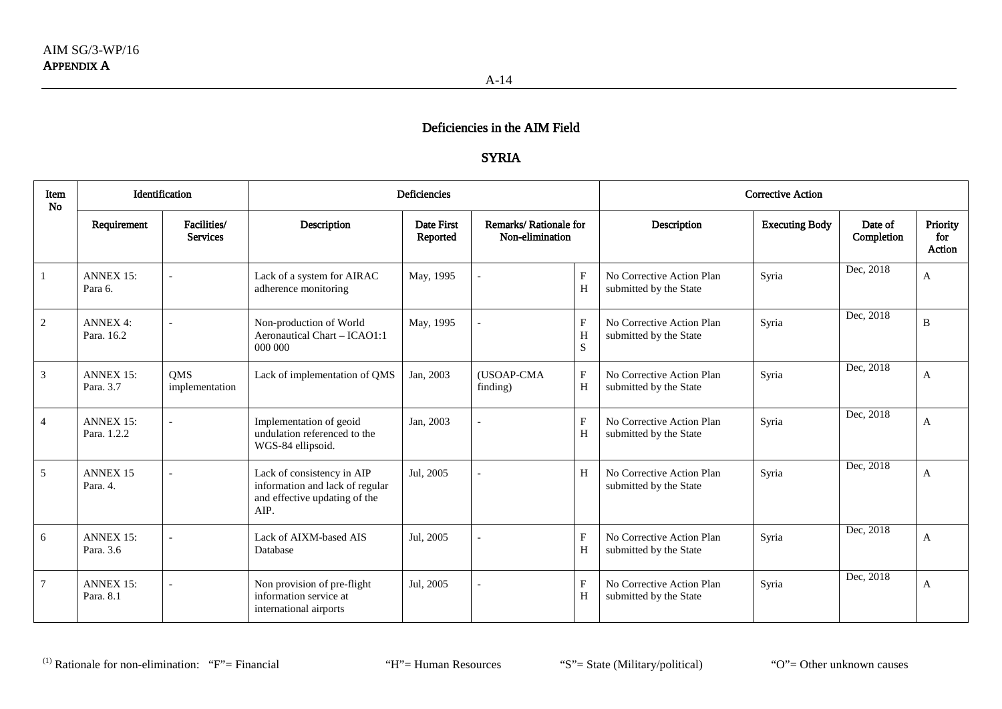## SYRIA

| Item<br><b>No</b> |                                 | Identification                 | <b>Deficiencies</b><br><b>Corrective Action</b>                                                        |                        |                                          |                     |                                                     |                       |                       |                           |
|-------------------|---------------------------------|--------------------------------|--------------------------------------------------------------------------------------------------------|------------------------|------------------------------------------|---------------------|-----------------------------------------------------|-----------------------|-----------------------|---------------------------|
|                   | Requirement                     | Facilities/<br><b>Services</b> | Description                                                                                            | Date First<br>Reported | Remarks/Rationale for<br>Non-elimination |                     | Description                                         | <b>Executing Body</b> | Date of<br>Completion | Priority<br>for<br>Action |
| 1                 | <b>ANNEX 15:</b><br>Para 6.     |                                | Lack of a system for AIRAC<br>adherence monitoring                                                     | May, 1995              |                                          | F<br>H              | No Corrective Action Plan<br>submitted by the State | Syria                 | Dec, 2018             | A                         |
| $\sqrt{2}$        | <b>ANNEX 4:</b><br>Para, 16.2   |                                | Non-production of World<br>Aeronautical Chart - ICAO1:1<br>000 000                                     | May, 1995              |                                          | F<br>H<br>${\bf S}$ | No Corrective Action Plan<br>submitted by the State | Syria                 | Dec, 2018             | B                         |
| 3                 | <b>ANNEX 15:</b><br>Para, 3.7   | <b>OMS</b><br>implementation   | Lack of implementation of QMS                                                                          | Jan, 2003              | (USOAP-CMA<br>finding)                   | $\mathbf{F}$<br>H   | No Corrective Action Plan<br>submitted by the State | Syria                 | Dec, 2018             | A                         |
| $\overline{4}$    | <b>ANNEX 15:</b><br>Para. 1.2.2 |                                | Implementation of geoid<br>undulation referenced to the<br>WGS-84 ellipsoid.                           | Jan, 2003              |                                          | F<br>H              | No Corrective Action Plan<br>submitted by the State | Syria                 | Dec, 2018             | A                         |
| 5                 | <b>ANNEX 15</b><br>Para. 4.     |                                | Lack of consistency in AIP<br>information and lack of regular<br>and effective updating of the<br>AIP. | Jul, 2005              |                                          | H                   | No Corrective Action Plan<br>submitted by the State | Syria                 | Dec, 2018             | A                         |
| 6                 | <b>ANNEX 15:</b><br>Para, 3.6   |                                | Lack of AIXM-based AIS<br>Database                                                                     | Jul, 2005              |                                          | F<br>H              | No Corrective Action Plan<br>submitted by the State | Syria                 | Dec, 2018             | A                         |
| 7                 | <b>ANNEX 15:</b><br>Para, 8.1   |                                | Non provision of pre-flight<br>information service at<br>international airports                        | Jul, 2005              |                                          | F<br>H              | No Corrective Action Plan<br>submitted by the State | Syria                 | Dec, 2018             | A                         |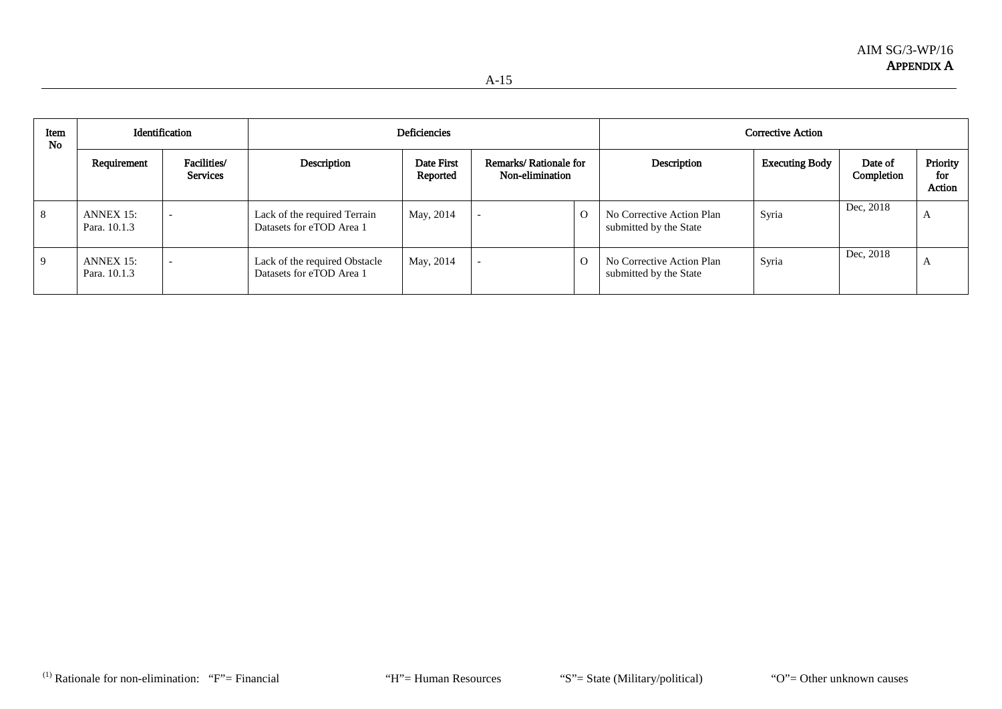| ۰.<br>× |
|---------|
|---------|

| Item<br><b>No</b> | Identification            |                                | Deficiencies                                              |                        |                                          |          | <b>Corrective Action</b>                            |                       |                       |                           |
|-------------------|---------------------------|--------------------------------|-----------------------------------------------------------|------------------------|------------------------------------------|----------|-----------------------------------------------------|-----------------------|-----------------------|---------------------------|
|                   | Requirement               | Facilities/<br><b>Services</b> | Description                                               | Date First<br>Reported | Remarks/Rationale for<br>Non-elimination |          | Description                                         | <b>Executing Body</b> | Date of<br>Completion | Priority<br>for<br>Action |
| 8                 | ANNEX 15:<br>Para, 10.1.3 |                                | Lack of the required Terrain<br>Datasets for eTOD Area 1  | May, 2014              |                                          | $\Omega$ | No Corrective Action Plan<br>submitted by the State | Syria                 | Dec, 2018             | $\Delta$                  |
| 9                 | ANNEX 15:<br>Para, 10.1.3 |                                | Lack of the required Obstacle<br>Datasets for eTOD Area 1 | May, 2014              |                                          | $\Omega$ | No Corrective Action Plan<br>submitted by the State | Syria                 | Dec, 2018             | $\Delta$                  |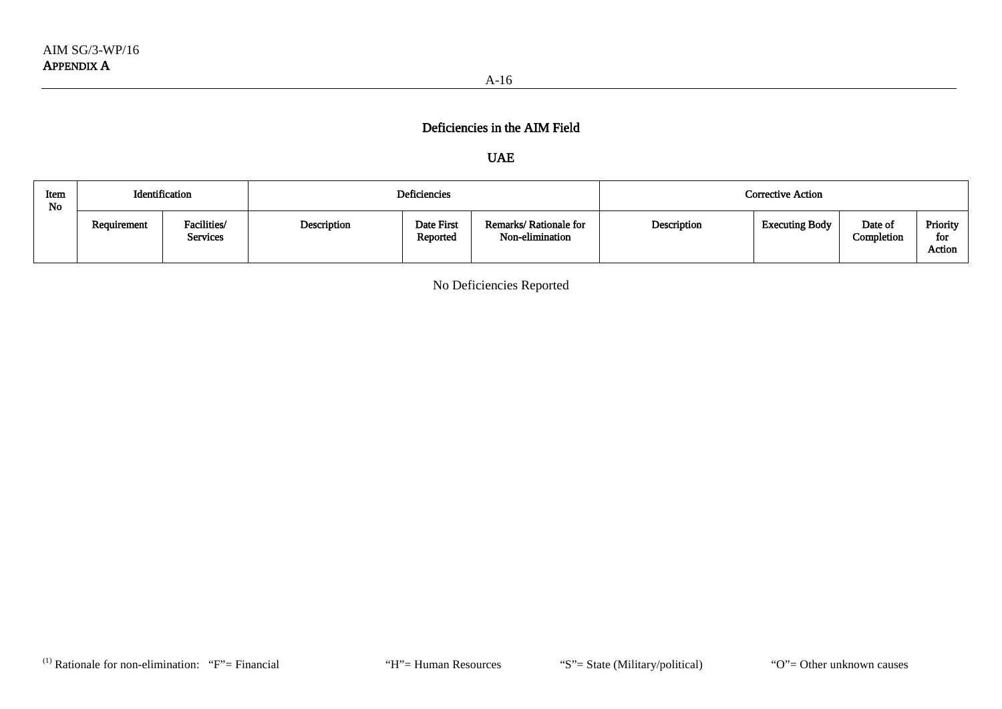# UAE

| Item<br>No | Identification |                                | <b>Deficiencies</b> |                        |                                          | Corrective Action |                       |                       |                           |  |
|------------|----------------|--------------------------------|---------------------|------------------------|------------------------------------------|-------------------|-----------------------|-----------------------|---------------------------|--|
|            | Requirement    | Facilities/<br><b>Services</b> | Description         | Date First<br>Reported | Remarks/Rationale for<br>Non-elimination | Description       | <b>Executing Body</b> | Date of<br>Completion | Priority<br>for<br>Action |  |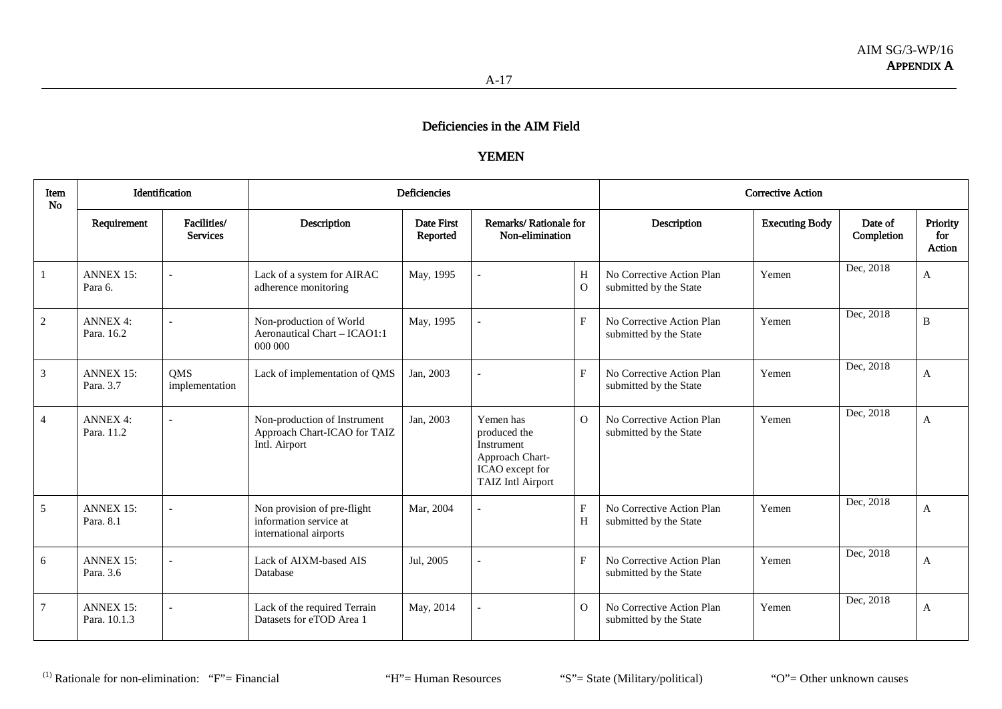# YEMEN

| Item<br><b>No</b> |                                  | Identification                 |                                                                                 | Deficiencies           |                                                                                                           |                             | <b>Corrective Action</b>                            |                       |                       |                           |
|-------------------|----------------------------------|--------------------------------|---------------------------------------------------------------------------------|------------------------|-----------------------------------------------------------------------------------------------------------|-----------------------------|-----------------------------------------------------|-----------------------|-----------------------|---------------------------|
|                   | Requirement                      | Facilities/<br><b>Services</b> | Description                                                                     | Date First<br>Reported | Remarks/Rationale for<br>Non-elimination                                                                  |                             | Description                                         | <b>Executing Body</b> | Date of<br>Completion | Priority<br>for<br>Action |
|                   | <b>ANNEX 15:</b><br>Para 6.      |                                | Lack of a system for AIRAC<br>adherence monitoring                              | May, 1995              |                                                                                                           | H<br>$\Omega$               | No Corrective Action Plan<br>submitted by the State | Yemen                 | Dec, 2018             | A                         |
| $\sqrt{2}$        | <b>ANNEX 4:</b><br>Para, 16.2    |                                | Non-production of World<br>Aeronautical Chart - ICAO1:1<br>000 000              | May, 1995              |                                                                                                           | $\mathbf{F}$                | No Corrective Action Plan<br>submitted by the State | Yemen                 | Dec, 2018             | B                         |
| $\mathfrak{Z}$    | <b>ANNEX 15:</b><br>Para, 3.7    | <b>OMS</b><br>implementation   | Lack of implementation of QMS                                                   | Jan. 2003              |                                                                                                           | $\mathbf{F}$                | No Corrective Action Plan<br>submitted by the State | Yemen                 | Dec, 2018             | $\mathbf{A}$              |
| $\overline{4}$    | <b>ANNEX 4:</b><br>Para, 11.2    |                                | Non-production of Instrument<br>Approach Chart-ICAO for TAIZ<br>Intl. Airport   | Jan, 2003              | Yemen has<br>produced the<br>Instrument<br>Approach Chart-<br>ICAO except for<br><b>TAIZ</b> Intl Airport | $\overline{O}$              | No Corrective Action Plan<br>submitted by the State | Yemen                 | Dec, 2018             | A                         |
| 5                 | <b>ANNEX 15:</b><br>Para, 8.1    |                                | Non provision of pre-flight<br>information service at<br>international airports | Mar, 2004              |                                                                                                           | $\mathbf F$<br>$\, {\rm H}$ | No Corrective Action Plan<br>submitted by the State | Yemen                 | Dec, 2018             | A                         |
| 6                 | <b>ANNEX 15:</b><br>Para, 3.6    |                                | Lack of AIXM-based AIS<br>Database                                              | Jul. 2005              |                                                                                                           | $\mathbf{F}$                | No Corrective Action Plan<br>submitted by the State | Yemen                 | Dec, 2018             | $\mathbf{A}$              |
| $\tau$            | <b>ANNEX 15:</b><br>Para, 10.1.3 |                                | Lack of the required Terrain<br>Datasets for eTOD Area 1                        | May, 2014              |                                                                                                           | $\Omega$                    | No Corrective Action Plan<br>submitted by the State | Yemen                 | Dec, 2018             | A                         |

(1) Rationale for non-elimination: "F"= Financial "H"= Human Resources "S"= State (Military/political) "O"= Other unknown causes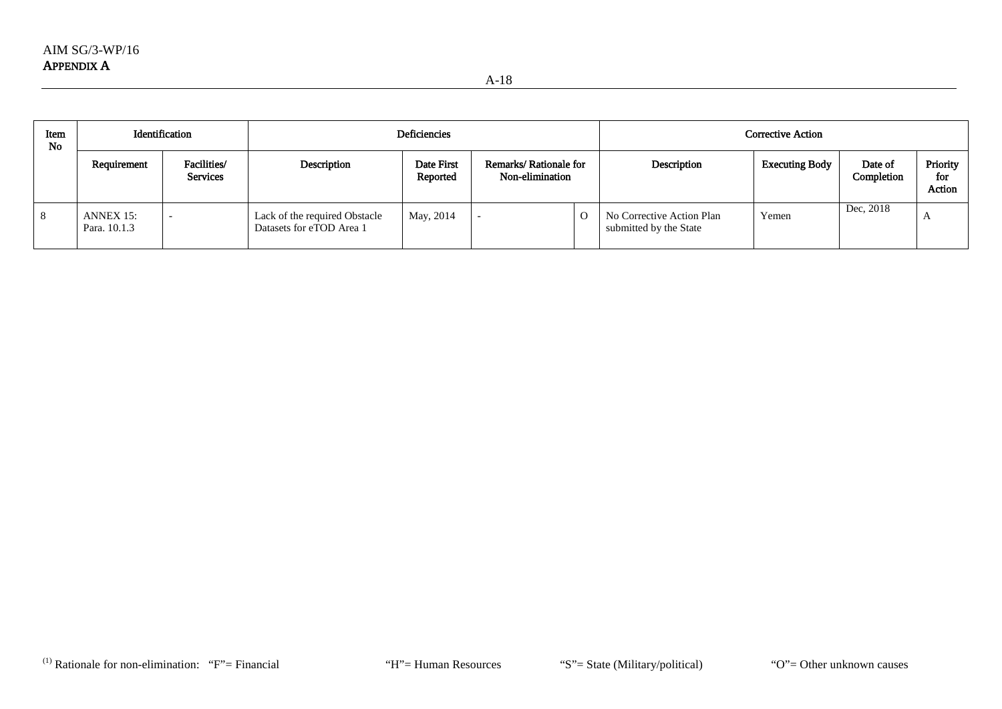| Item<br><b>No</b> |                           | <b>Deficiencies</b><br>Identification |                                                           |                        |                                          |   | Corrective Action                                   |                       |                       |                           |  |
|-------------------|---------------------------|---------------------------------------|-----------------------------------------------------------|------------------------|------------------------------------------|---|-----------------------------------------------------|-----------------------|-----------------------|---------------------------|--|
|                   | Requirement               | Facilities/<br><b>Services</b>        | Description                                               | Date First<br>Reported | Remarks/Rationale for<br>Non-elimination |   | Description                                         | <b>Executing Body</b> | Date of<br>Completion | Priority<br>for<br>Action |  |
| 8                 | ANNEX 15:<br>Para. 10.1.3 |                                       | Lack of the required Obstacle<br>Datasets for eTOD Area 1 | May, 2014              |                                          | O | No Corrective Action Plan<br>submitted by the State | Yemen                 | Dec, 2018             |                           |  |